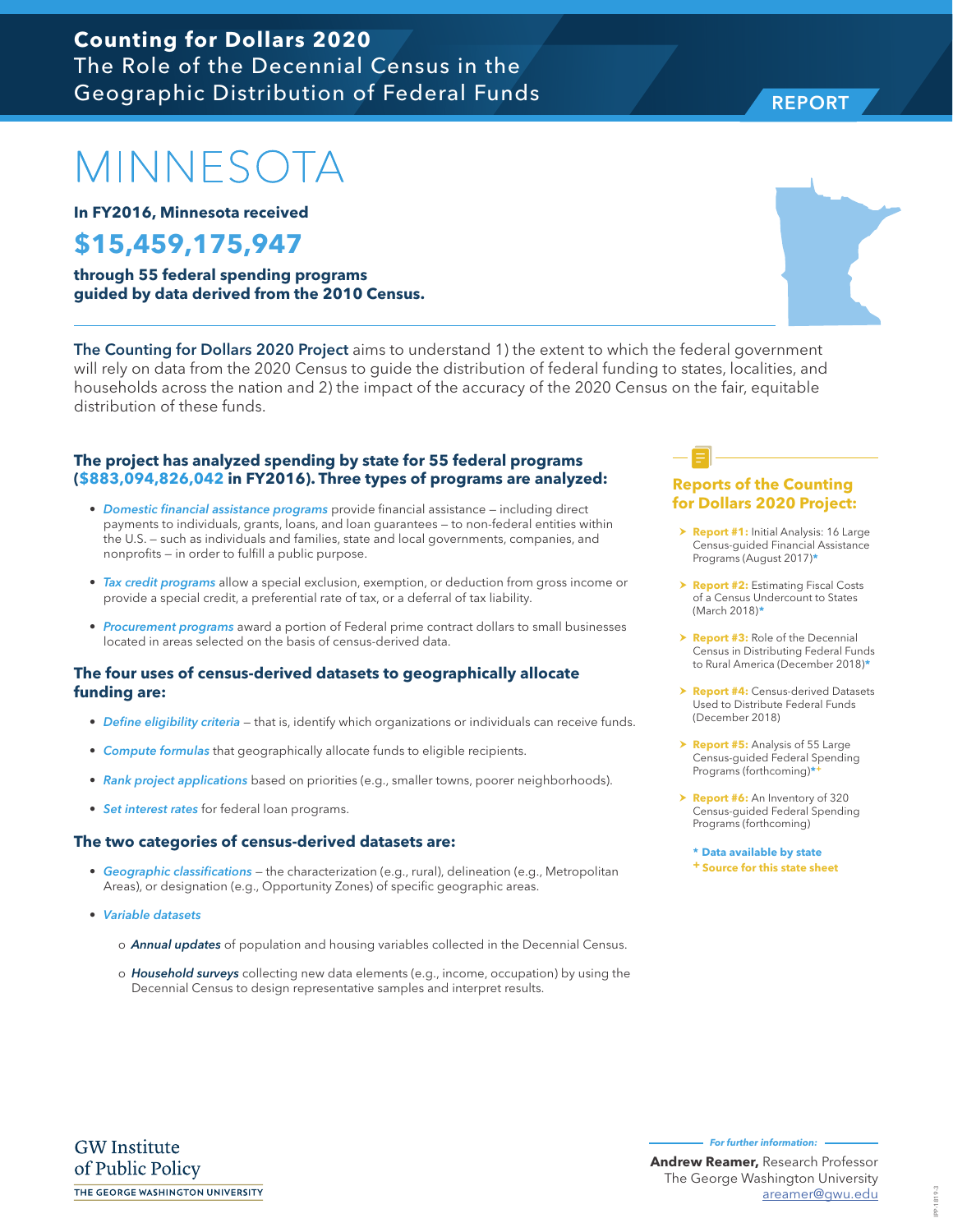### **Counting for Dollars 2020** The Role of the Decennial Census in the Geographic Distribution of Federal Funds

# MINNESOTA

**In FY2016, Minnesota received**

## **\$15,459,175,947**

**through 55 federal spending programs guided by data derived from the 2010 Census.**

The Counting for Dollars 2020 Project aims to understand 1) the extent to which the federal government will rely on data from the 2020 Census to guide the distribution of federal funding to states, localities, and households across the nation and 2) the impact of the accuracy of the 2020 Census on the fair, equitable distribution of these funds.

#### **The project has analyzed spending by state for 55 federal programs (\$883,094,826,042 in FY2016). Three types of programs are analyzed:**

- *Domestic financial assistance programs* provide financial assistance including direct payments to individuals, grants, loans, and loan guarantees — to non-federal entities within the U.S. — such as individuals and families, state and local governments, companies, and nonprofits — in order to fulfill a public purpose.
- *Tax credit programs* allow a special exclusion, exemption, or deduction from gross income or provide a special credit, a preferential rate of tax, or a deferral of tax liability.
- *Procurement programs* award a portion of Federal prime contract dollars to small businesses located in areas selected on the basis of census-derived data.

#### **The four uses of census-derived datasets to geographically allocate funding are:**

- *Define eligibility criteria* that is, identify which organizations or individuals can receive funds.
- *Compute formulas* that geographically allocate funds to eligible recipients.
- *Rank project applications* based on priorities (e.g., smaller towns, poorer neighborhoods).
- *Set interest rates* for federal loan programs.

#### **The two categories of census-derived datasets are:**

- *Geographic classifications* the characterization (e.g., rural), delineation (e.g., Metropolitan Areas), or designation (e.g., Opportunity Zones) of specific geographic areas.
- *Variable datasets* 
	- o *Annual updates* of population and housing variables collected in the Decennial Census.
	- o *Household surveys* collecting new data elements (e.g., income, occupation) by using the Decennial Census to design representative samples and interpret results.

#### **Reports of the Counting for Dollars 2020 Project:**

- **> Report #1:** Initial Analysis: 16 Large Census-guided Financial Assistance Programs (August 2017)**\***
- **h Report #2: Estimating Fiscal Costs** of a Census Undercount to States (March 2018)**\***
- **Report #3:** Role of the Decennial Census in Distributing Federal Funds to Rural America (December 2018)**\***
- **Report #4: Census-derived Datasets** Used to Distribute Federal Funds (December 2018)
- > **Report #5:** Analysis of 55 Large Census-guided Federal Spending Programs (forthcoming)**\*+**
- > **Report #6:** An Inventory of 320 Census-guided Federal Spending Programs (forthcoming)

**\* Data available by state + Source for this state sheet**



REPORT

IPP-1819-3 IPP-1819-3